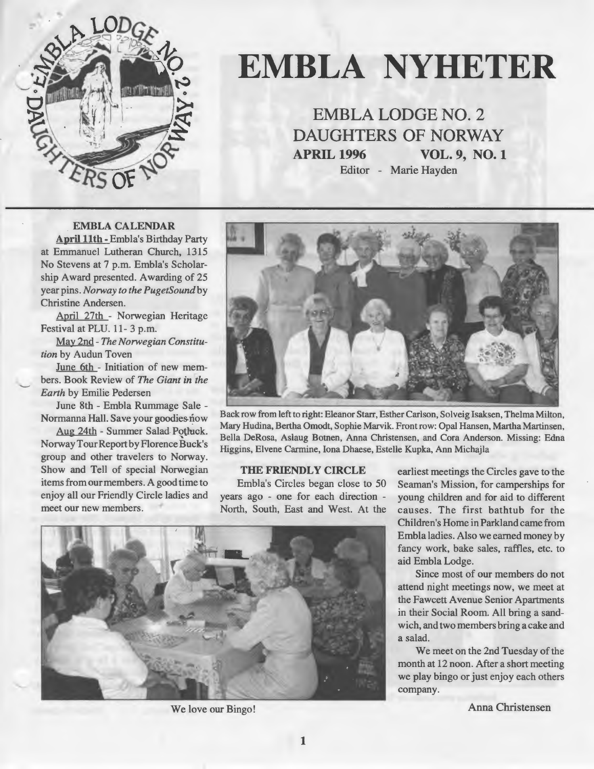

# **EMBLA NYHETER**

**EMBLA LODGE NO. 2 DAUGHTERS OF NORWAY APRIL 1996 VOL. 9, N0.1**  Editor - Marie Hayden

#### **EMBLA CALENDAR**

**April llth** - Embla's Birthday Party at Emmanuel Lutheran Church, 1315 No Stevens at 7 p.m. Embla's Scholarship Award presented. Awarding of 25 year pins. *Norway to the PugetSoundby*  Christine Andersen.

April 27th - Norwegian Heritage Festival at PLU. 11- 3 p.m.

May 2nd - *The Norwegian Constitution* by Audun Toven

June 6th - Initiation of new members. Book Review of *The Giant in the Earth* by Emilie Pedersen

June Sth - Embla Rummage Sale - Normanna Hall. Save your goodies now

Aug 24th - Summer Salad Potluck. Norway Tour Report by Florence Buck's group and other travelers to Norway. Show and Tell of special Norwegian items from our members. A good time to enjoy all our Friendly Circle ladies and meet our new members.



Back row from left to right: Eleanor Starr, Esther Carlson, Solveig Isaksen, Thelma Milton, Mary Hudina, Bertha Omodt, Sophie Marvik. Front row: Opal Hansen, Martha Martinsen, Beila DeRosa, Aslaug Botnen, Anna Christensen, and Cora Anderson. Missing: Edna Higgins, Elvene Carmine, Iona Dhaese, Estelle Kupka, Ann Michajla

#### **THE FRIENDLY CIRCLE**

Embla's Circles began close to 50 years ago - one for each direction - North, South, East and West. At the



earliest meetings the Circles gave to the Seaman's Mission, for camperships for young children and for aid to different causes. The first bathtub for the Children's Home in Parkland came from Embla ladies. Also we earned money by fancy work, bake sales, raffles, etc. to aid Embla Lodge.

Since most of our members do not attend night meetings now, we meet at the Fawcett Avenue Senior Apartments in their Social Room. All bring a sandwich, and two members bringa cake and a salad.

We meet on the 2nd Tuesday of the month at 12 noon. After a short meeting we play bingo or just enjoy each others company.

We love our Bingo! Anna Christensen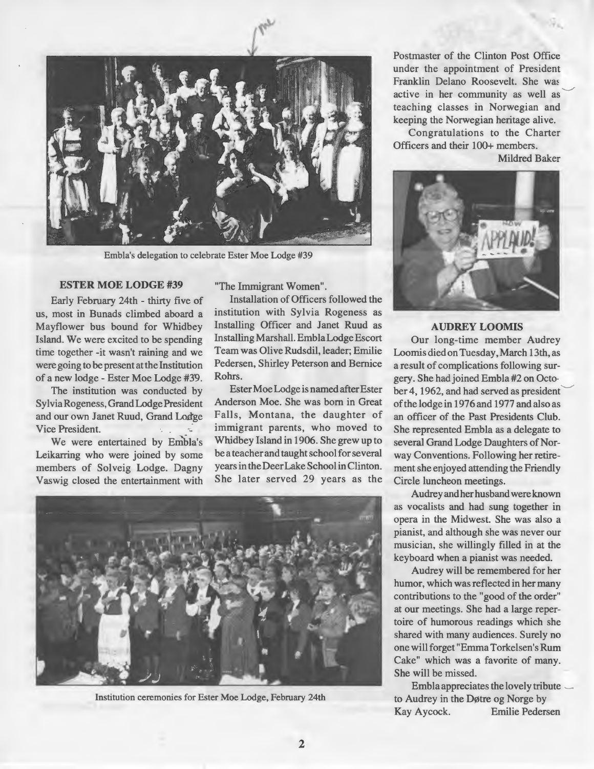

Embla's delegation to celebrate Ester Moe Lodge #39

#### **ESTER MOE LODGE** #39

Early February 24th - thirty five of us, most in Bunads climbed aboard a Mayflower bus bound for Whidbey Island. We were excited to be spending time together -it wasn't raining and we were going to be present at the Institution of a new lodge - Ester Moe Lodge #39.

The institution was conducted by Sylvia Rogeness, Grand Lodge President and our own Janet Ruud, Grand Lodge Vice President.

We were entertained by Embla's Leikarring who were joined by some members of Solveig Lodge. Dagny Vaswig closed the entertainment with "The Immigrant Women".

Installation of Officers followed the institution with Sylvia Rogeness as Installing Officer and Janet Ruud as Installing Marshall. Embla Lodge Escort Team was Olive Rudsdil, leader; Emilie Pedersen, Shirley Peterson and Bemice Rohrs.

Ester Moe Lodge is named after Ester Anderson Moe. She was bom in Great Falls, Montana, the daughter of immigrant parents, who moved to Whidbey Island in 1906. She grew up to be a teacher and taught school for several years in the Deer Lake School in Clinton. She later served 29 years as the



Institution ceremonies for Ester Moe Lodge, February 24th

Postmaster of the Clinton Post Office under the appointment of President Franklin Delano Roosevelt. She was active in her community as well as teaching classes in Norwegian and keeping the Norwegian heritage alive.

Congratulations to the Charter Officers and their 100+ members.

Mildred Baker



#### **AUDREY LOOMIS**

Our long-time member Audrey Loomis died on Tuesday, March 13th, as a result of complications following surgery. She had joined Embla #2 on Octo· ber 4, 1962, and had served as president of the lodge in 1976 and 1977 and also as an officer of the Past Presidents Club. She represented Embla as a delegate to several Grand Lodge Daughters of Norway Conventions. Following her retirement she enjoyed attending the Friendly Circle luncheon meetings.

Audrey and her husband were known as vocalists and had sung together in opera in the Midwest. She was also a pianist, and although she was never our musician, she willingly filled in at the keyboard when a pianist was needed.

Audrey will be remembered for her humor, which was reflected in her many contributions to the "good of the order" at our meetings. She had a large repertoire of humorous readings which she shared with many audiences. Surely no one will forget "Emma Torkelsen's Rum Cake" which was a favorite of many. She will be missed.

Embla appreciates the lovely tribute to Audrey in the Døtre og Norge by Kay Aycock. Emilie Pedersen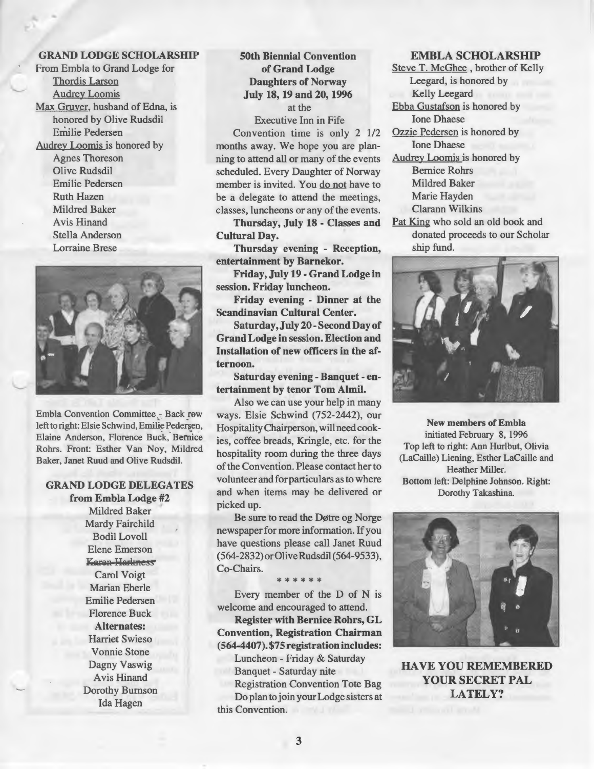## GRAND LODGE SCHOLARSHIP

From Embla to Grand Lodge for Thordis Larson **Audrey Loomis** Max Gruver, husband of Edna, is honored by Olive Rudsdil Emilie Pedersen Audrey Loomis is honored by Agnes Thoreson Olive Rudsdil Emilie Pedersen Ruth Hazen Mildred Baker Avis Hinand Stella Anderson Lorraine Brese



Embla Convention Committee  $\frac{1}{n}$  Back row left to right: Elsie Schwind, Emilie Pedersen, Elaine Anderson, Florence Buck, Bernice Rohrs. Front: Esther Van Noy, Mildred Baker, Janet Ruud and Olive Rudsdil.

#### GRAND LODGE DELEGATES from Embla Lodge #2

**Mildred Baker** Mardy Fairchild Bodil Lovoll Elene Emerson Karen-Harkness Carol Voigt Marian Eberle Emilie Pedersen Florence Buck Alternates: Harriet Swieso Vonnie Stone Dagny Vaswig Avis Hinand Dorothy Burnson Ida Hagen

## 50th Biennial Convention of Grand Lodge Daughters of Norway July 18, 19 and 20, 1996 at the

Executive Inn in Fife

Convention time is only 2 1/2 months away. We hope you are planning to attend all or many of the events scheduled. Every Daughter of Norway member is invited. You do not have to be a delegate to attend the meetings, classes, luncheons or any of the events.

Thursday, July 18 - Classes and Cultural Day.

Thursday evening - Reception, entertainment by Barnekor.

Friday, July 19 - Grand Lodge in session. Friday luncheon.

Friday evening - Dinner at the Scandinavian Cultural Center.

Saturday, July 20- Second Day of Grand Lodge in session. Election and Installation of new officers in the afternoon.

Saturday evening - Banquet - entertainment by tenor Tom Almil.

Also we can use your help in many ways. Elsie Schwind (752-2442), our Hospitality Chairperson, will need cookies, coffee breads, Kringle, etc. for the hospitality room during the three days of the Convention. Please contact her to volunteer and forparticulars as to where and when items may be delivered or picked up.

Be sure to read the Døtre og Norge newspaper for more information. If you have questions please call Janet Ruud (564-2832) orOlive Rudsdil (564-9533), Co-Chairs.

\*\*\*\*\*\*

Every member of the D of N is welcome and encouraged to attend. Register with Bernice Rohrs, GL Convention, Registration Chairman (564-4407). \$75 registration includes: Luncheon - Friday & Saturday Banquet - Saturday nite

Registration Convention Tote Bag Do plan to join your Lodge sisters at this Convention.

#### EMBLA SCHOLARSHIP

Steve T. McGhee, brother of Kelly Leegard, is honored by Kelly Leegard Ebba Gustafson is honored by Ione Dhaese Ozzie Pedersen is honored by Ione Dhaese Audrey Loomis is honored by Bernice Rohrs

Mildred Baker Marie Hayden Clarann Wilkins

Pat King who sold an old book and donated proceeds to our Scholar ship fund.



New members of Embla initiated February 8, 1996 Top left to right: Ann Hurlbut, Olivia (LaCaille) Liening, Esther LaCaille and Heather Miller. Bottom left: Delphine Johnson. Right: Dorothy Takashina.



HA VE YOU REMEMBERED YOUR SECRET PAL LATELY?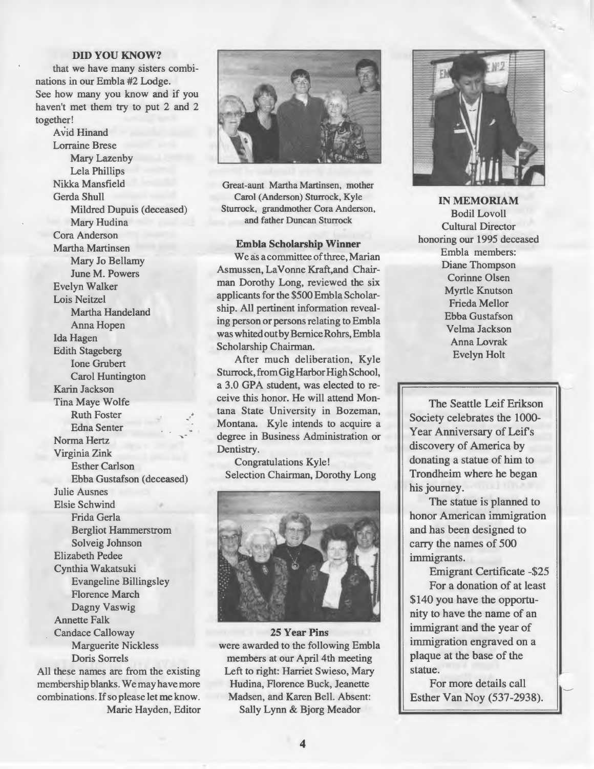#### **DID YOU KNOW?**

that we have many sisters combinations in our Embla #2 Lodge. See how many you know and if you haven't met them try to put 2 and 2 together!

Avid Hinand Lorraine Brese Mary Lazenby Lela Phillips Nikka Mansfield Gerda Shull Mildred Dupuis (deceased) Mary Hudina Cora Anderson Martha Martinsen Mary Jo Bellamy June M. Powers Evelyn Walker Lois Neitzel Martha Handeland Anna Hopen Ida Hagen Edith Stageberg Ione Grubert Carol Huntington Karin Jackson Tina Maye Wolfe Ruth Foster Edna Senter Norma Hertz Virginia Zink Esther Carlson Ebba Gustafson ( deceased) Julie Ausnes Elsie Schwind Frida Gerla Bergliot Hammerstrom Solveig Johnson Elizabeth Pedee Cynthia Wakatsuki Evangeline Billingsley Florence March Dagny Vaswig Annette Falk Candace Calloway Marguerite Nickless Doris Sorrels All these names are from the existing

membership blanks. We may have more combinations. lf so please let me know. Marie Hayden, Editor



Great-aunt Martha Martinsen, mother Carol (Anderson) Sturrock, Kyle Sturrock, grandmother Cora Anderson, and father Duncan Sturrock

#### **Embla Scholarship Winner**

We as a committee of three, Marian Asmussen, LaVonne Kraft,and Chairman Dorothy Long, reviewed the six applicants for the \$500 Embla Scholarship. All pertinent information revealing person or persons relating to Embla was whited out by Bernice Rohrs, Embla Scholarship Chairman.

After much deliberation, Kyle Sturrock, from Gig Harbor High School, a 3.0 GPA student, was elected to receive this honor. He will attend Montana State University in Bozeman, Montana. Kyle intends to acquire a degree in Business Administration or Dentistry.

Congratulations Kyle! Selection Chairman, Dorothy Long



**25 Year Pins**  were awarded to the following Embla members at our April 4th meeting Left to right: Harriet Swieso, Mary Hudina, Florence Buck, Jeanette Madsen, and Karen Bell. Absent: Sally Lynn & Bjorg Meador



-.

**IN MEMORIAM** Bodil Lovoll Cultural Director honoring our 1995 deceased Embla members: Diane Thompson Corinne Olsen Myrtle Knutson Frieda Mellor Ebba Gustafson Velma Jackson AnnaLovrak Evelyn Holt

The Seattle Leif Erikson Society celebrates the 1000- Year Anniversary of Leif's discovery of America by donating a statue of him to Trondheim where he began his journey.

The statue is planned to honor American immigration and has been designed to carry the names of 500 immigrants.

Emigrant Certificate -\$25 For a donation of at least \$140 you have the opportunity to have the name of an immigrant and the year of immigration engraved on a plaque at the base of the statue.

For more details call Esther Van Noy (537-2938). ~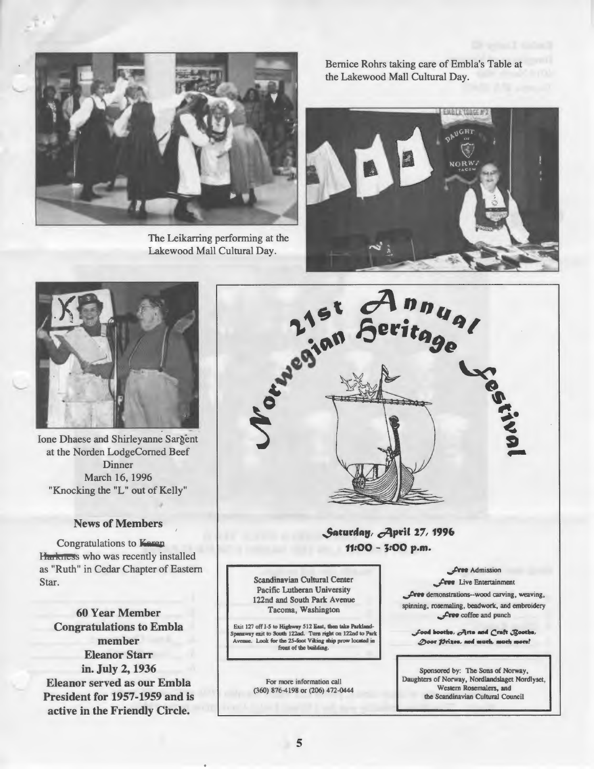

The Leikarring performing at the Lakewood Mall Cultural Day.

Bemice Rohrs taking care of Embla's Table at the Lakewood Mall Cultural Day.





Ione Dhaese and Shirleyanne Sargent at the Norden LodgeComed Beef Dinner March 16, 1996 "Knocking the "L" out of Kelly"

#### News of Members

Congratulations to Karen Harkness who was recently installed as "Ruth" in Cedar Chapter of Eastem Star.

60 Year Member Congratulations to Embla member Eleanor Starr in. July 2, 1936 Eleanor served as our Embla President for 1957-1959 and is active in the Friendly Circle.



# Saturday, April 27, 1996 11:00 - J:OO p.m.

Scandinavian Cultural Center Pacific Lutheran University 122nd and South Park Avenue Tacoma, Washington

Exit 127 off I-5 to Highway 512 East, then take Parkiandway exit to South 122nd. Turn right on 122nd to Park Look for the 25-foot Viking ship prow located in front of the building.

> For more information call (360) 876-4198 or (206) 472-0444

**Jeree Admission** 

**Jewe** Live Entertainment Jree demonstrations--wood carving, weaving, spinning, rosemaling, beadwork, and embroidery **Jree** coffee and punch

Sood booths, Arts and Craft Booths, Door *Prizes*, and much, much more!

Sponsored by: The Sons of Norway, Daughters of Norway, Nordlandslaget Nordlyset, Western Rosemalers, and the Scandinavian Cultural Council